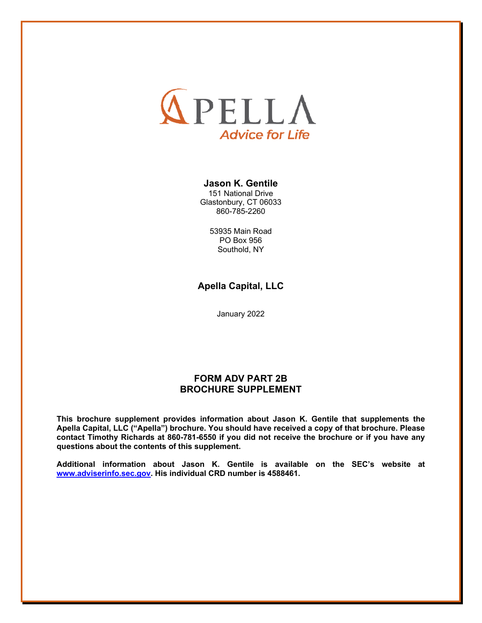

### **Jason K. Gentile**

151 National Drive Glastonbury, CT 06033 860-785-2260

> 53935 Main Road PO Box 956 Southold, NY

**Apella Capital, LLC** 

January 2022

### **FORM ADV PART 2B BROCHURE SUPPLEMENT**

**This brochure supplement provides information about Jason K. Gentile that supplements the Apella Capital, LLC ("Apella") brochure. You should have received a copy of that brochure. Please contact Timothy Richards at 860-781-6550 if you did not receive the brochure or if you have any questions about the contents of this supplement.**

**Additional information about Jason K. Gentile is available on the SEC's website at www.adviserinfo.sec.gov. His individual CRD number is 4588461.**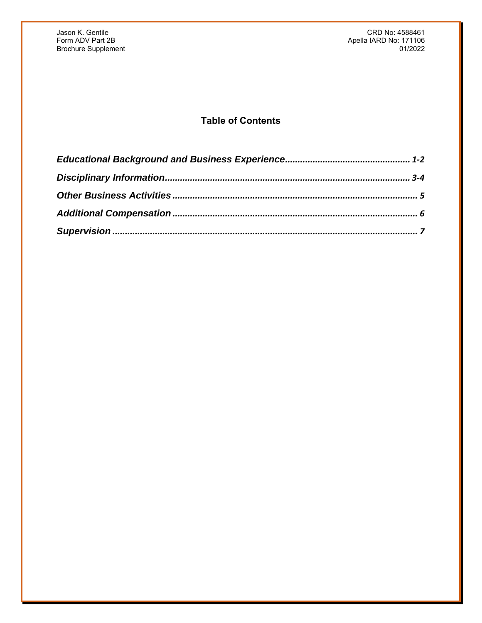Jason K. Gentile CRD No: 4588461 Apella IARD No: 171106<br>01/2022

## **Table of Contents**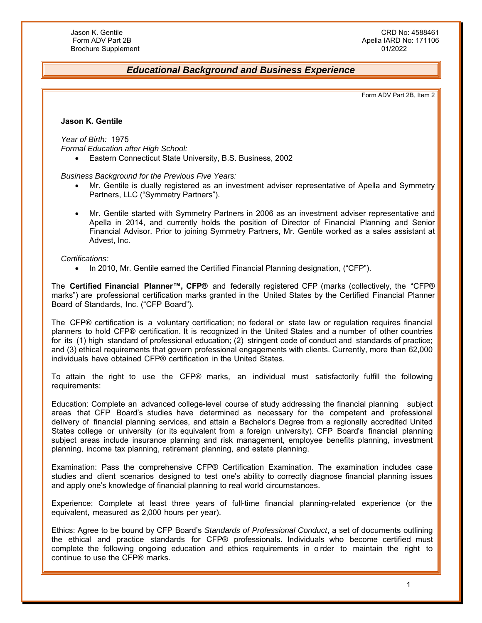### *Educational Background and Business Experience*

Form ADV Part 2B, Item 2

### **Jason K. Gentile**

*Year of Birth:* 1975 *Formal Education after High School:* 

Eastern Connecticut State University, B.S. Business, 2002

*Business Background for the Previous Five Years:* 

- Mr. Gentile is dually registered as an investment adviser representative of Apella and Symmetry Partners, LLC ("Symmetry Partners").
- Mr. Gentile started with Symmetry Partners in 2006 as an investment adviser representative and Apella in 2014, and currently holds the position of Director of Financial Planning and Senior Financial Advisor. Prior to joining Symmetry Partners, Mr. Gentile worked as a sales assistant at Advest, Inc.

#### *Certifications:*

• In 2010, Mr. Gentile earned the Certified Financial Planning designation, ("CFP").

The **Certified Financial Planner™, CFP®** and federally registered CFP (marks (collectively, the "CFP® marks") are professional certification marks granted in the United States by the Certified Financial Planner Board of Standards, Inc. ("CFP Board").

The CFP® certification is a voluntary certification; no federal or state law or regulation requires financial planners to hold CFP® certification. It is recognized in the United States and a number of other countries for its (1) high standard of professional education; (2) stringent code of conduct and standards of practice; and (3) ethical requirements that govern professional engagements with clients. Currently, more than 62,000 individuals have obtained CFP® certification in the United States.

To attain the right to use the CFP® marks, an individual must satisfactorily fulfill the following requirements:

Education: Complete an advanced college-level course of study addressing the financial planning subject areas that CFP Board's studies have determined as necessary for the competent and professional delivery of financial planning services, and attain a Bachelor's Degree from a regionally accredited United States college or university (or its equivalent from a foreign university). CFP Board's financial planning subject areas include insurance planning and risk management, employee benefits planning, investment planning, income tax planning, retirement planning, and estate planning.

Examination: Pass the comprehensive CFP® Certification Examination. The examination includes case studies and client scenarios designed to test one's ability to correctly diagnose financial planning issues and apply one's knowledge of financial planning to real world circumstances.

Experience: Complete at least three years of full-time financial planning-related experience (or the equivalent, measured as 2,000 hours per year).

Ethics: Agree to be bound by CFP Board's *Standards of Professional Conduct*, a set of documents outlining the ethical and practice standards for CFP® professionals. Individuals who become certified must complete the following ongoing education and ethics requirements in o rder to maintain the right to continue to use the CFP® marks.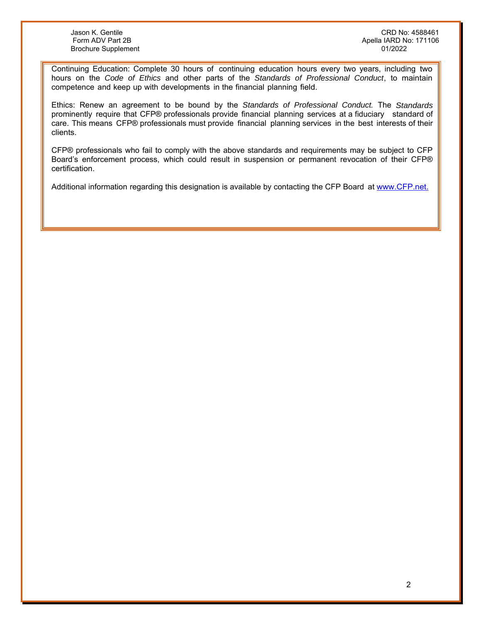Brochure Supplement

Jason K. Gentile CRD No: 4588461 Apella IARD No: 171106<br>01/2022

Continuing Education: Complete 30 hours of continuing education hours every two years, including two hours on the *Code of Ethics* and other parts of the *Standards of Professional Conduct*, to maintain competence and keep up with developments in the financial planning field.

Ethics: Renew an agreement to be bound by the *Standards of Professional Conduct.* The *Standards*  prominently require that CFP® professionals provide financial planning services at a fiduciary standard of care. This means CFP® professionals must provide financial planning services in the best interests of their clients.

CFP® professionals who fail to comply with the above standards and requirements may be subject to CFP Board's enforcement process, which could result in suspension or permanent revocation of their CFP® certification.

Additional information regarding this designation is available by contacting the CFP Board at www.CFP.net.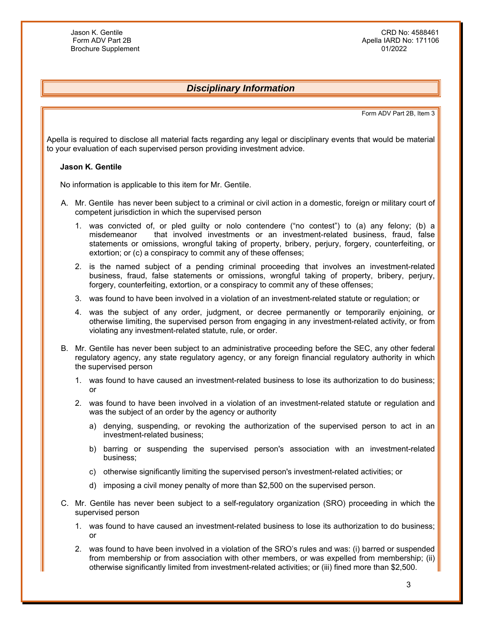## *Disciplinary Information*

Form ADV Part 2B, Item 3

Apella is required to disclose all material facts regarding any legal or disciplinary events that would be material to your evaluation of each supervised person providing investment advice.

#### **Jason K. Gentile**

No information is applicable to this item for Mr. Gentile.

- A. Mr. Gentile has never been subject to a criminal or civil action in a domestic, foreign or military court of competent jurisdiction in which the supervised person
	- 1. was convicted of, or pled guilty or nolo contendere ("no contest") to (a) any felony; (b) a misdemeanor that involved investments or an investment-related business, fraud, false statements or omissions, wrongful taking of property, bribery, perjury, forgery, counterfeiting, or extortion; or (c) a conspiracy to commit any of these offenses;
	- 2. is the named subject of a pending criminal proceeding that involves an investment-related business, fraud, false statements or omissions, wrongful taking of property, bribery, perjury, forgery, counterfeiting, extortion, or a conspiracy to commit any of these offenses;
	- 3. was found to have been involved in a violation of an investment-related statute or regulation; or
	- 4. was the subject of any order, judgment, or decree permanently or temporarily enjoining, or otherwise limiting, the supervised person from engaging in any investment-related activity, or from violating any investment-related statute, rule, or order.
- B. Mr. Gentile has never been subject to an administrative proceeding before the SEC, any other federal regulatory agency, any state regulatory agency, or any foreign financial regulatory authority in which the supervised person
	- 1. was found to have caused an investment-related business to lose its authorization to do business; or
	- 2. was found to have been involved in a violation of an investment-related statute or regulation and was the subject of an order by the agency or authority
		- a) denying, suspending, or revoking the authorization of the supervised person to act in an investment-related business;
		- b) barring or suspending the supervised person's association with an investment-related business;
		- c) otherwise significantly limiting the supervised person's investment-related activities; or
		- d) imposing a civil money penalty of more than \$2,500 on the supervised person.
- C. Mr. Gentile has never been subject to a self-regulatory organization (SRO) proceeding in which the supervised person
	- 1. was found to have caused an investment-related business to lose its authorization to do business; or
	- 2. was found to have been involved in a violation of the SRO's rules and was: (i) barred or suspended from membership or from association with other members, or was expelled from membership; (ii) otherwise significantly limited from investment-related activities; or (iii) fined more than \$2,500.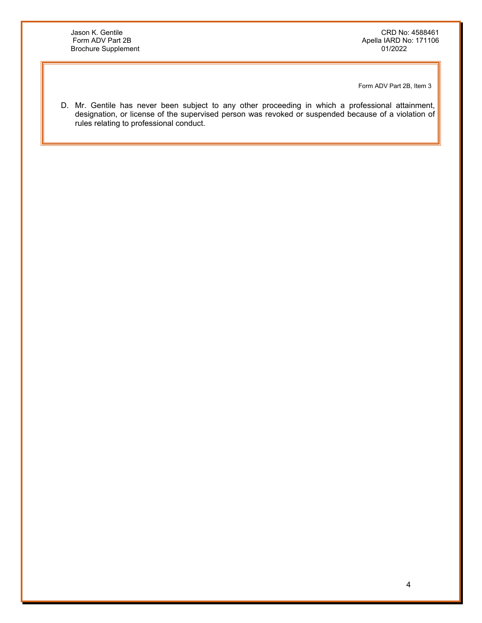Jason K. Gentile CRD No: 4588461 Apella IARD No: 171106<br>01/2022

Form ADV Part 2B, Item 3

D. Mr. Gentile has never been subject to any other proceeding in which a professional attainment, designation, or license of the supervised person was revoked or suspended because of a violation of rules relating to professional conduct.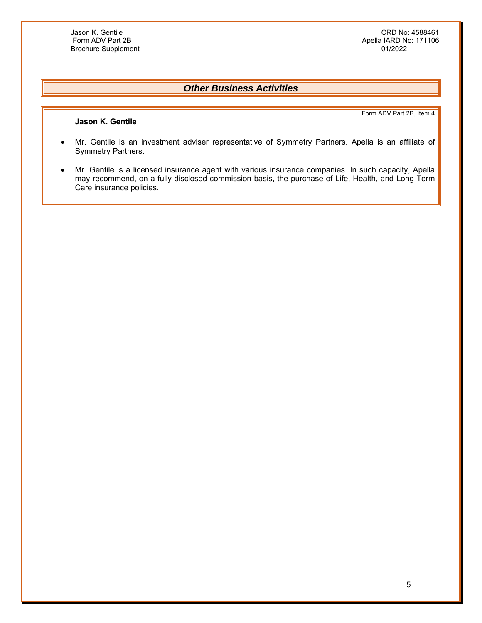**Jason K. Gentile** 

Jason K. Gentile CRD No: 4588461 Apella IARD No: 171106<br>01/2022

## *Other Business Activities*

Form ADV Part 2B, Item 4

- Mr. Gentile is an investment adviser representative of Symmetry Partners. Apella is an affiliate of Symmetry Partners.
- Mr. Gentile is a licensed insurance agent with various insurance companies. In such capacity, Apella may recommend, on a fully disclosed commission basis, the purchase of Life, Health, and Long Term Care insurance policies.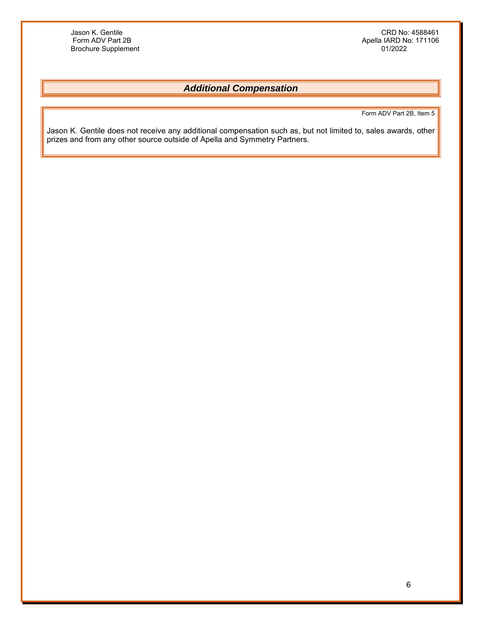Jason K. Gentile CRD No: 4588461 Apella IARD No: 171106<br>01/2022

# *Additional Compensation*

Form ADV Part 2B, Item 5

Jason K. Gentile does not receive any additional compensation such as, but not limited to, sales awards, other prizes and from any other source outside of Apella and Symmetry Partners.